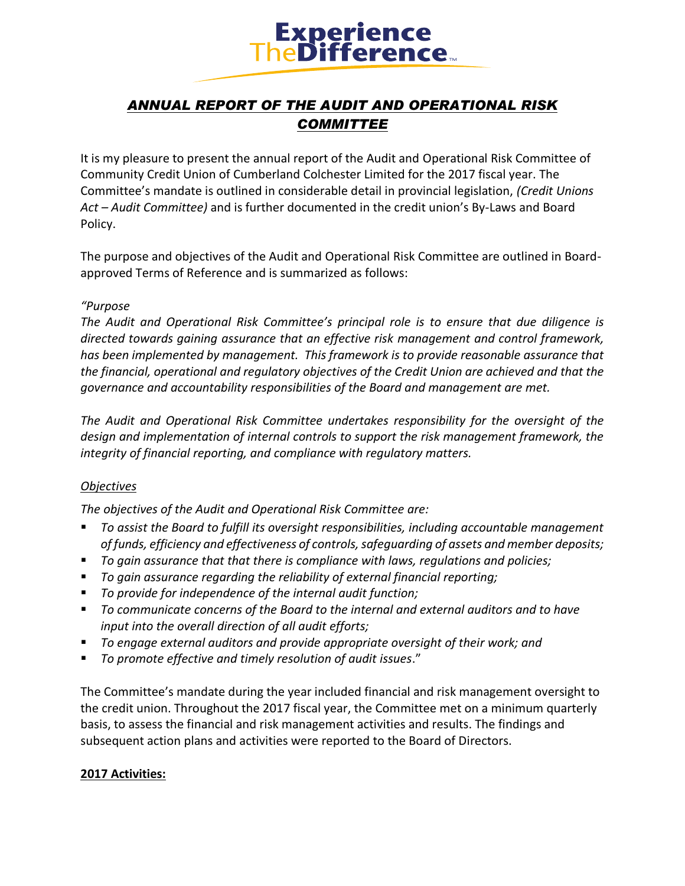### **Experience**<br>TheDifference

### *ANNUAL REPORT OF THE AUDIT AND OPERATIONAL RISK COMMITTEE*

It is my pleasure to present the annual report of the Audit and Operational Risk Committee of Community Credit Union of Cumberland Colchester Limited for the 2017 fiscal year. The Committee's mandate is outlined in considerable detail in provincial legislation, *(Credit Unions Act – Audit Committee)* and is further documented in the credit union's By-Laws and Board Policy.

The purpose and objectives of the Audit and Operational Risk Committee are outlined in Boardapproved Terms of Reference and is summarized as follows:

#### *"Purpose*

*The Audit and Operational Risk Committee's principal role is to ensure that due diligence is directed towards gaining assurance that an effective risk management and control framework, has been implemented by management. This framework is to provide reasonable assurance that the financial, operational and regulatory objectives of the Credit Union are achieved and that the governance and accountability responsibilities of the Board and management are met.* 

*The Audit and Operational Risk Committee undertakes responsibility for the oversight of the design and implementation of internal controls to support the risk management framework, the integrity of financial reporting, and compliance with regulatory matters.* 

#### *Objectives*

*The objectives of the Audit and Operational Risk Committee are:*

- To assist the Board to fulfill its oversight responsibilities, including accountable management *of funds, efficiency and effectiveness of controls, safeguarding of assets and member deposits;*
- *To gain assurance that that there is compliance with laws, regulations and policies;*
- *To gain assurance regarding the reliability of external financial reporting;*
- *To provide for independence of the internal audit function;*
- To communicate concerns of the Board to the internal and external auditors and to have *input into the overall direction of all audit efforts;*
- *To engage external auditors and provide appropriate oversight of their work; and*
- *To promote effective and timely resolution of audit issues*."

The Committee's mandate during the year included financial and risk management oversight to the credit union. Throughout the 2017 fiscal year, the Committee met on a minimum quarterly basis, to assess the financial and risk management activities and results. The findings and subsequent action plans and activities were reported to the Board of Directors.

#### **2017 Activities:**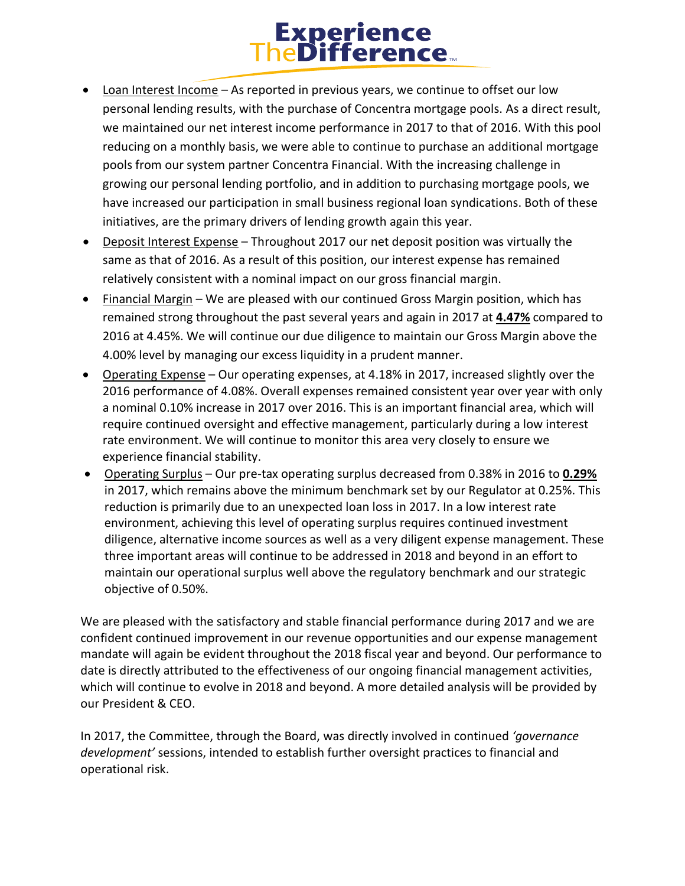# **Experience**<br>TheDifference

- Loan Interest Income As reported in previous years, we continue to offset our low personal lending results, with the purchase of Concentra mortgage pools. As a direct result, we maintained our net interest income performance in 2017 to that of 2016. With this pool reducing on a monthly basis, we were able to continue to purchase an additional mortgage pools from our system partner Concentra Financial. With the increasing challenge in growing our personal lending portfolio, and in addition to purchasing mortgage pools, we have increased our participation in small business regional loan syndications. Both of these initiatives, are the primary drivers of lending growth again this year.
- Deposit Interest Expense Throughout 2017 our net deposit position was virtually the same as that of 2016. As a result of this position, our interest expense has remained relatively consistent with a nominal impact on our gross financial margin.
- Financial Margin We are pleased with our continued Gross Margin position, which has remained strong throughout the past several years and again in 2017 at **4.47%** compared to 2016 at 4.45%. We will continue our due diligence to maintain our Gross Margin above the 4.00% level by managing our excess liquidity in a prudent manner.
- Operating Expense Our operating expenses, at 4.18% in 2017, increased slightly over the 2016 performance of 4.08%. Overall expenses remained consistent year over year with only a nominal 0.10% increase in 2017 over 2016. This is an important financial area, which will require continued oversight and effective management, particularly during a low interest rate environment. We will continue to monitor this area very closely to ensure we experience financial stability.
- Operating Surplus Our pre-tax operating surplus decreased from 0.38% in 2016 to **0.29%** in 2017, which remains above the minimum benchmark set by our Regulator at 0.25%. This reduction is primarily due to an unexpected loan loss in 2017. In a low interest rate environment, achieving this level of operating surplus requires continued investment diligence, alternative income sources as well as a very diligent expense management. These three important areas will continue to be addressed in 2018 and beyond in an effort to maintain our operational surplus well above the regulatory benchmark and our strategic objective of 0.50%.

We are pleased with the satisfactory and stable financial performance during 2017 and we are confident continued improvement in our revenue opportunities and our expense management mandate will again be evident throughout the 2018 fiscal year and beyond. Our performance to date is directly attributed to the effectiveness of our ongoing financial management activities, which will continue to evolve in 2018 and beyond. A more detailed analysis will be provided by our President & CEO.

In 2017, the Committee, through the Board, was directly involved in continued *'governance development'* sessions, intended to establish further oversight practices to financial and operational risk.